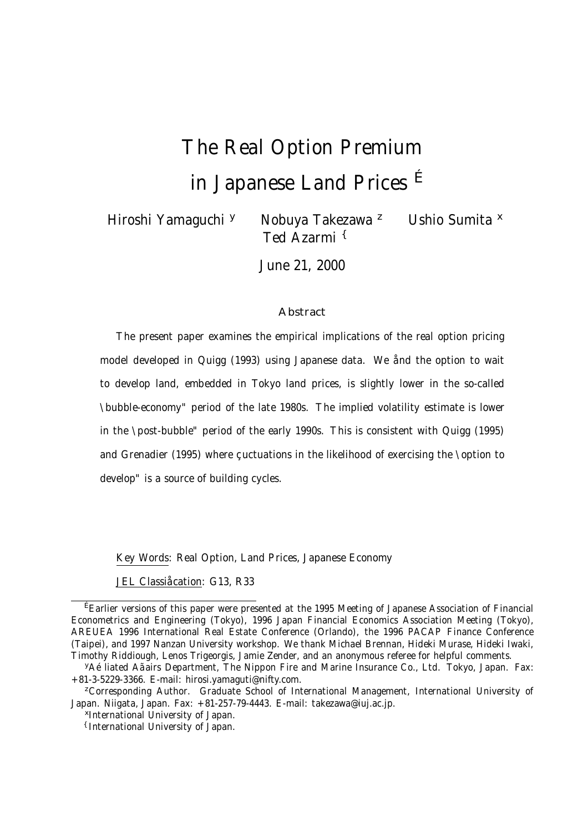# The Real Option Premium in Japanese Land Prices E

Hiroshi Yamaguchi <sup>y</sup> Nobuya Takezawa<sup>z</sup> Ushio Sumita <sup>x</sup> Ted Azarmi {

June 21, 2000

#### **Abstract**

The present paper examines the empirical implications of the real option pricing model developed in Quigg (1993) using Japanese data. We ånd the option to wait to develop land, embedded in Tokyo land prices, is slightly lower in the so-called \bubble-economy" period of the late 1980s. The implied volatility estimate is lower in the \post-bubble" period of the early 1990s. This is consistent with Quigg (1995) and Grenadier (1995) where çuctuations in the likelihood of exercising the \option to develop" is a source of building cycles.

Key Words: Real Option, Land Prices, Japanese Economy

JEL Classiåcation: G13, R33

<sup>É</sup>Earlier versions of this paper were presented at the 1995 Meeting of Japanese Association of Financial Econometrics and Engineering (Tokyo), 1996 Japan Financial Economics Association Meeting (Tokyo), AREUEA 1996 International Real Estate Conference (Orlando), the 1996 PACAP Finance Conference (Taipei), and 1997 Nanzan University workshop. We thank Michael Brennan, Hideki Murase, Hideki Iwaki, Timothy Riddiough, Lenos Trigeorgis, Jamie Zender, and an anonymous referee for helpful comments.

<sup>y</sup>Aéliated Aãairs Department, The Nippon Fire and Marine Insurance Co., Ltd. Tokyo, Japan. Fax: +81-3-5229-3366. E-mail: hirosi.yamaguti@nifty.com.

<sup>&</sup>lt;sup>z</sup>Corresponding Author. Graduate School of International Management, International University of Japan. Niigata, Japan. Fax: +81-257-79-4443. E-mail: takezawa@iuj.ac.jp.

<sup>x</sup>International University of Japan.

<sup>{</sup>International University of Japan.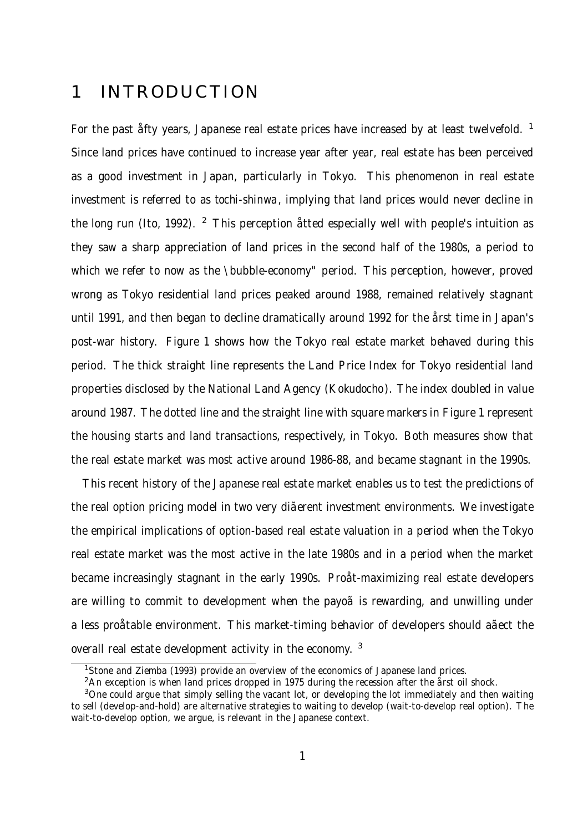## 1 INTRODUCTION

For the past arty years, Japanese real estate prices have increased by at least twelvefold. <sup>1</sup> Since land prices have continued to increase year after year, real estate has been perceived as a good investment in Japan, particularly in Tokyo. This phenomenon in real estate investment is referred to as tochi-shinwa, implying that land prices would never decline in the long run (Ito, 1992). <sup>2</sup> This perception atted especially well with people's intuition as they saw a sharp appreciation of land prices in the second half of the 1980s, a period to which we refer to now as the \bubble-economy" period. This perception, however, proved wrong as Tokyo residential land prices peaked around 1988, remained relatively stagnant until 1991, and then began to decline dramatically around 1992 for the årst time in Japan's post-war history. Figure 1 shows how the Tokyo real estate market behaved during this period. The thick straight line represents the Land Price Index for Tokyo residential land properties disclosed by the National Land Agency (Kokudocho). The index doubled in value around 1987. The dotted line and the straight line with square markers in Figure 1 represent the housing starts and land transactions, respectively, in Tokyo. Both measures show that the real estate market was most active around 1986-88, and became stagnant in the 1990s.

This recent history of the Japanese real estate market enables us to test the predictions of the real option pricing model in two very diãerent investment environments. We investigate the empirical implications of option-based real estate valuation in a period when the Tokyo real estate market was the most active in the late 1980s and in a period when the market became increasingly stagnant in the early 1990s. Proåt-maximizing real estate developers are willing to commit to development when the payoã is rewarding, and unwilling under a less proåtable environment. This market-timing behavior of developers should aãect the overall real estate development activity in the economy. <sup>3</sup>

<sup>&</sup>lt;sup>1</sup>Stone and Ziemba (1993) provide an overview of the economics of Japanese land prices.

 $2An$  exception is when land prices dropped in 1975 during the recession after the årst oil shock.

<sup>&</sup>lt;sup>3</sup>One could argue that simply selling the vacant lot, or developing the lot immediately and then waiting to sell (develop-and-hold) are alternative strategies to waiting to develop (wait-to-develop real option). The wait-to-develop option, we argue, is relevant in the Japanese context.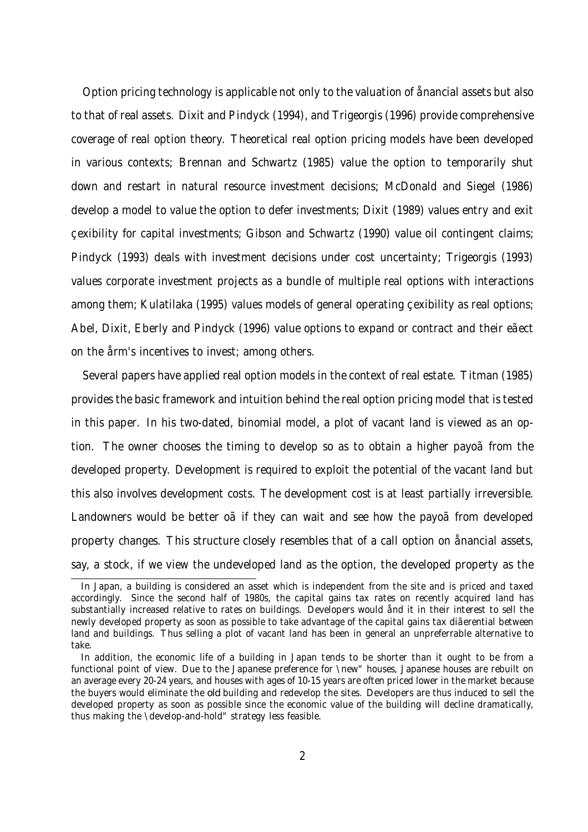Option pricing technology is applicable not only to the valuation of ånancial assets but also to that of real assets. Dixit and Pindyck (1994), and Trigeorgis (1996) provide comprehensive coverage of real option theory. Theoretical real option pricing models have been developed in various contexts; Brennan and Schwartz (1985) value the option to temporarily shut down and restart in natural resource investment decisions; McDonald and Siegel (1986) develop a model to value the option to defer investments; Dixit (1989) values entry and exit çexibility for capital investments; Gibson and Schwartz (1990) value oil contingent claims; Pindyck (1993) deals with investment decisions under cost uncertainty; Trigeorgis (1993) values corporate investment projects as a bundle of multiple real options with interactions among them; Kulatilaka (1995) values models of general operating çexibility as real options; Abel, Dixit, Eberly and Pindyck (1996) value options to expand or contract and their eãect on the årm's incentives to invest; among others.

Several papers have applied real option models in the context of real estate. Titman (1985) provides the basic framework and intuition behind the real option pricing model that is tested in this paper. In his two-dated, binomial model, a plot of vacant land is viewed as an option. The owner chooses the timing to develop so as to obtain a higher payoã from the developed property. Development is required to exploit the potential of the vacant land but this also involves development costs. The development cost is at least partially irreversible. Landowners would be better oã if they can wait and see how the payoã from developed property changes. This structure closely resembles that of a call option on ånancial assets, say, a stock, if we view the undeveloped land as the option, the developed property as the

In Japan, a building is considered an asset which is independent from the site and is priced and taxed accordingly. Since the second half of 1980s, the capital gains tax rates on recently acquired land has substantially increased relative to rates on buildings. Developers would ånd it in their interest to sell the newly developed property as soon as possible to take advantage of the capital gains tax diãerential between land and buildings. Thus selling a plot of vacant land has been in general an unpreferrable alternative to take.

In addition, the economic life of a building in Japan tends to be shorter than it ought to be from a functional point of view. Due to the Japanese preference for \new" houses, Japanese houses are rebuilt on an average every 20-24 years, and houses with ages of 10-15 years are often priced lower in the market because the buyers would eliminate the old building and redevelop the sites. Developers are thus induced to sell the developed property as soon as possible since the economic value of the building will decline dramatically, thus making the \develop-and-hold" strategy less feasible.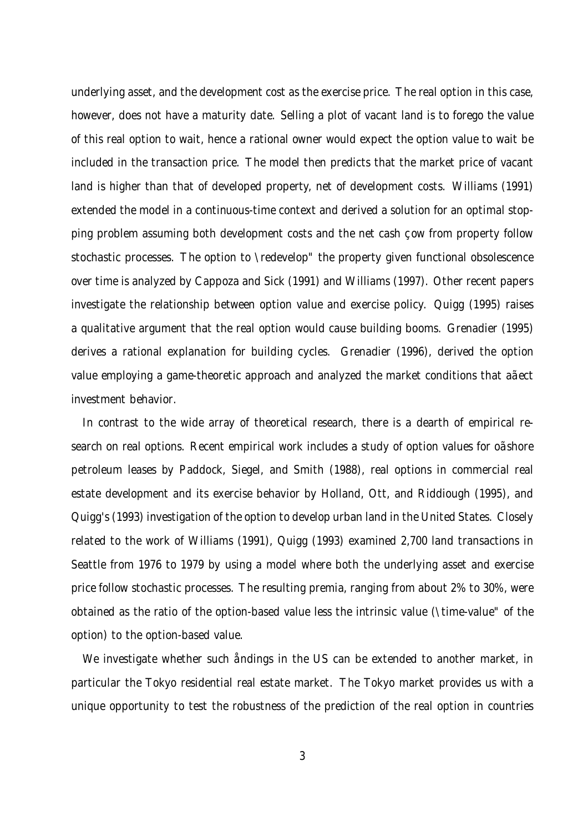underlying asset, and the development cost as the exercise price. The real option in this case, however, does not have a maturity date. Selling a plot of vacant land is to forego the value of this real option to wait, hence a rational owner would expect the option value to wait be included in the transaction price. The model then predicts that the market price of vacant land is higher than that of developed property, net of development costs. Williams (1991) extended the model in a continuous-time context and derived a solution for an optimal stopping problem assuming both development costs and the net cash cow from property follow stochastic processes. The option to \redevelop" the property given functional obsolescence over time is analyzed by Cappoza and Sick (1991) and Williams (1997). Other recent papers investigate the relationship between option value and exercise policy. Quigg (1995) raises a qualitative argument that the real option would cause building booms. Grenadier (1995) derives a rational explanation for building cycles. Grenadier (1996), derived the option value employing a game-theoretic approach and analyzed the market conditions that aãect investment behavior.

In contrast to the wide array of theoretical research, there is a dearth of empirical research on real options. Recent empirical work includes a study of option values for oãshore petroleum leases by Paddock, Siegel, and Smith (1988), real options in commercial real estate development and its exercise behavior by Holland, Ott, and Riddiough (1995), and Quigg's (1993) investigation of the option to develop urban land in the United States. Closely related to the work of Williams (1991), Quigg (1993) examined 2,700 land transactions in Seattle from 1976 to 1979 by using a model where both the underlying asset and exercise price follow stochastic processes. The resulting premia, ranging from about 2% to 30%, were obtained as the ratio of the option-based value less the intrinsic value (\time-value" of the option) to the option-based value.

We investigate whether such åndings in the US can be extended to another market, in particular the Tokyo residential real estate market. The Tokyo market provides us with a unique opportunity to test the robustness of the prediction of the real option in countries

3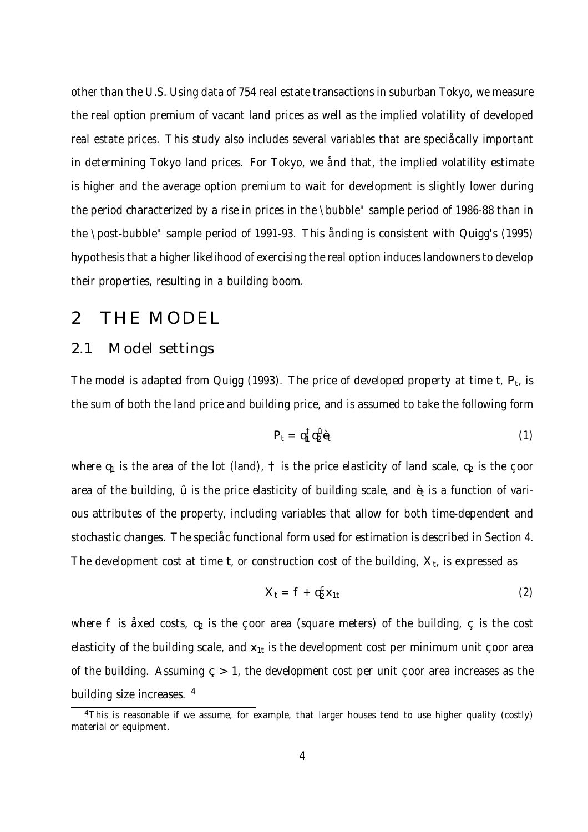other than the U.S. Using data of 754 real estate transactions in suburban Tokyo, we measure the real option premium of vacant land prices as well as the implied volatility of developed real estate prices. This study also includes several variables that are speciåcally important in determining Tokyo land prices. For Tokyo, we ånd that, the implied volatility estimate is higher and the average option premium to wait for development is slightly lower during the period characterized by a rise in prices in the \bubble" sample period of 1986-88 than in the \post-bubble" sample period of 1991-93. This ånding is consistent with Quigg's (1995) hypothesis that a higher likelihood of exercising the real option induces landowners to develop their properties, resulting in a building boom.

### 2 THE MODEL

#### 2.1 Model settings

The model is adapted from Quigg (1993). The price of developed property at time t,  $P_t$ , is the sum of both the land price and building price, and is assumed to take the following form

$$
P_t = q_1^{\dagger} q_2^{\mathcal{G}} \hat{\mathbf{e}} \tag{1}
$$

where  $q_1$  is the area of the lot (land),  $\uparrow$  is the price elasticity of land scale,  $q_2$  is the goor area of the building,  $\hat{u}$  is the price elasticity of building scale, and  $\hat{\theta}$  is a function of various attributes of the property, including variables that allow for both time-dependent and stochastic changes. The speci $\hat{\alpha}$  functional form used for estimation is described in Section 4. The development cost at time t, or construction cost of the building,  $X_t$ , is expressed as

$$
X_t = f + q_2^C x_{1t} \tag{2}
$$

where f is åxed costs,  $q_2$  is the coor area (square meters) of the building,  $\varsigma$  is the cost elasticity of the building scale, and  $x_{1t}$  is the development cost per minimum unit çoor area of the building. Assuming  $c > 1$ , the development cost per unit coor area increases as the building size increases. <sup>4</sup>

<sup>&</sup>lt;sup>4</sup>This is reasonable if we assume, for example, that larger houses tend to use higher quality (costly) material or equipment.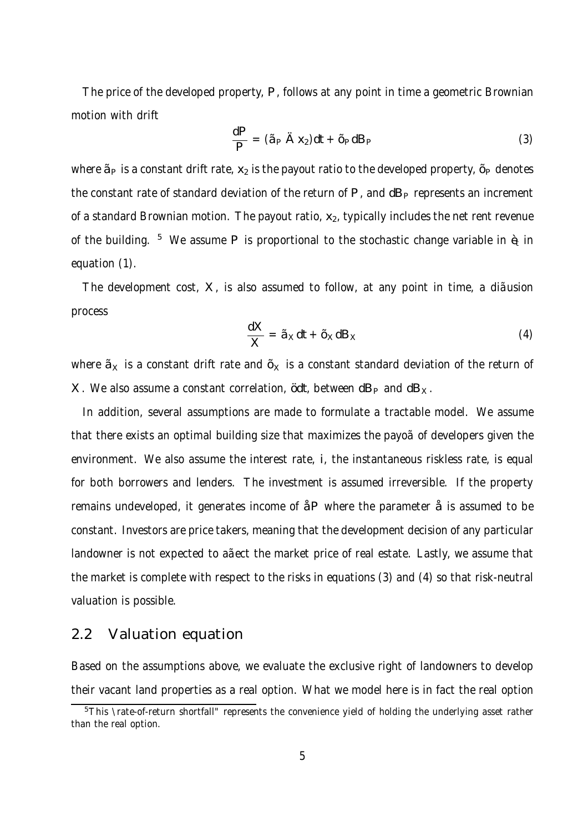The price of the developed property, P, follows at any point in time a geometric Brownian motion with drift

$$
\frac{dP}{P} = (\tilde{a}_P \stackrel{\cdot}{A} X_2)dt + \tilde{c}_P dB_P \tag{3}
$$

where  $\tilde{a}_P$  is a constant drift rate,  $x_2$  is the payout ratio to the developed property,  $\tilde{c}_P$  denotes the constant rate of standard deviation of the return of  $P$ , and  $dB<sub>P</sub>$  represents an increment of a standard Brownian motion. The payout ratio,  $x_2$ , typically includes the net rent revenue of the building. <sup>5</sup> We assume P is proportional to the stochastic change variable in  $\hat{\mathbf{e}}$  in equation (1).

The development cost, X, is also assumed to follow, at any point in time, a diãusion process

$$
\frac{dX}{X} = \tilde{a}_X dt + \tilde{c}_X dB_X
$$
 (4)

where  $\tilde{a}_x$  is a constant drift rate and  $\tilde{a}_x$  is a constant standard deviation of the return of X. We also assume a constant correlation,  $\dot{\alpha}$ t, between dB<sub>P</sub> and dB<sub>X</sub>.

In addition, several assumptions are made to formulate a tractable model. We assume that there exists an optimal building size that maximizes the payoãof developers given the environment. We also assume the interest rate, i, the instantaneous riskless rate, is equal for both borrowers and lenders. The investment is assumed irreversible. If the property remains undeveloped, it generates income of åP where the parameter å is assumed to be constant. Investors are price takers, meaning that the development decision of any particular landowner is not expected to aãect the market price of real estate. Lastly, we assume that the market is complete with respect to the risks in equations (3) and (4) so that risk-neutral valuation is possible.

#### 2.2 Valuation equation

Based on the assumptions above, we evaluate the exclusive right of landowners to develop their vacant land properties as a real option. What we model here is in fact the real option

<sup>&</sup>lt;sup>5</sup>This \rate-of-return shortfall" represents the convenience yield of holding the underlying asset rather than the real option.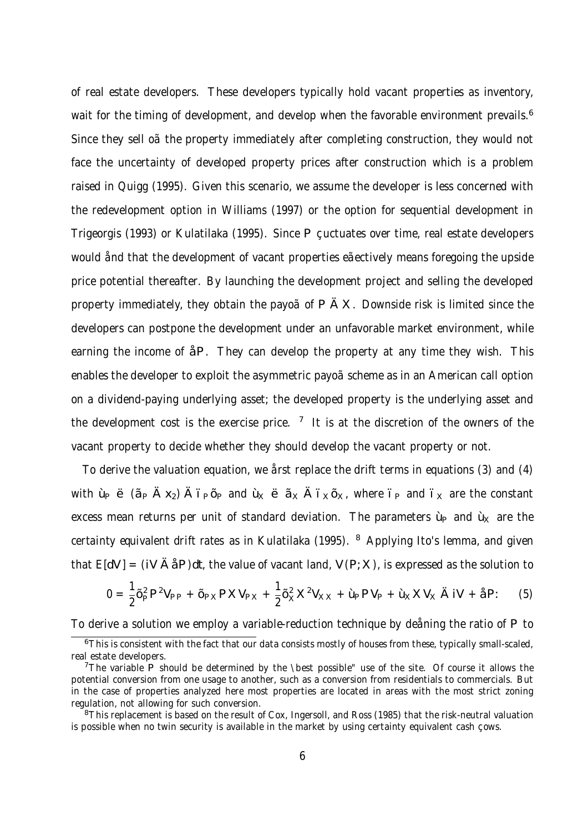of real estate developers. These developers typically hold vacant properties as inventory, wait for the timing of development, and develop when the favorable environment prevails.<sup>6</sup> Since they sell oã the property immediately after completing construction, they would not face the uncertainty of developed property prices after construction which is a problem raised in Quigg (1995). Given this scenario, we assume the developer is less concerned with the redevelopment option in Williams (1997) or the option for sequential development in Trigeorgis (1993) or Kulatilaka (1995). Since P cuctuates over time, real estate developers would ånd that the development of vacant properties eãectively means foregoing the upside price potential thereafter. By launching the development project and selling the developed property immediately, they obtain the payoã of P Ä X. Downside risk is limited since the developers can postpone the development under an unfavorable market environment, while earning the income of åP. They can develop the property at any time they wish. This enables the developer to exploit the asymmetric payoãscheme as in an American call option on a dividend-paying underlying asset; the developed property is the underlying asset and the development cost is the exercise price.  $7$  It is at the discretion of the owners of the vacant property to decide whether they should develop the vacant property or not.

To derive the valuation equation, we årst replace the drift terms in equations (3) and (4) with  $\psi \leftrightarrow (\tilde{a}_P \times \chi_2)$   $\tilde{A}$  i  $_P \tilde{Q}_P$  and  $\tilde{u}_X \leftrightarrow \tilde{A}$  i  $_X \tilde{Q}_X$ , where  $\tilde{v}_P$  and  $\tilde{v}_X$  are the constant excess mean returns per unit of standard deviation. The parameters  $\dot{\psi}$  and  $\dot{\psi}$  are the certainty equivalent drift rates as in Kulatilaka (1995). <sup>8</sup> Applying Ito's lemma, and given that  $E[dV] = (iV \mathring{A}dP)dt$ , the value of vacant land, V (P; X), is expressed as the solution to

$$
0 = \frac{1}{2}\tilde{q}^2 P^2 V_{PP} + \tilde{q}_{Y} P X V_{PX} + \frac{1}{2}\tilde{q}^2_X X^2 V_{XX} + \tilde{\mu} P V_{P} + \tilde{\mu}_X X V_X \ddot{A} iV + \tilde{a} P: \tag{5}
$$

To derive a solution we employ a variable-reduction technique by deåning the ratio of P to

<sup>&</sup>lt;sup>6</sup>This is consistent with the fact that our data consists mostly of houses from these, typically small-scaled, real estate developers.

<sup>&</sup>lt;sup>7</sup>The variable P should be determined by the \best possible" use of the site. Of course it allows the potential conversion from one usage to another, such as a conversion from residentials to commercials. But in the case of properties analyzed here most properties are located in areas with the most strict zoning regulation, not allowing for such conversion.

<sup>&</sup>lt;sup>8</sup>This replacement is based on the result of Cox, Ingersoll, and Ross (1985) that the risk-neutral valuation is possible when no twin security is available in the market by using certainty equivalent cash cows.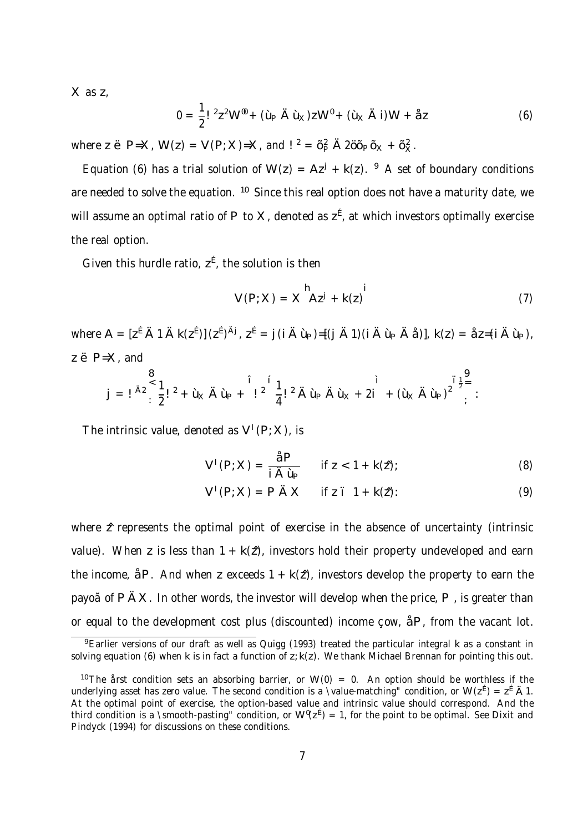X as z,

$$
0 = \frac{1}{2}I^{2}z^{2}W^{\prime\prime\prime} + (\dot{\mu}\ \dot{A}\ \dot{\nu}_{k})zw^{\prime\prime} + (\dot{\nu}_{k}\ \ddot{A}\ i)W + \dot{a}z
$$
 (6)

where z ë P=X, W(z) = V (P; X)=X, and ! <sup>2</sup> =  $\tilde{\sigma}$ <sub>2</sub>  $\tilde{A}$  2 $\tilde{\sigma}$  $\tilde{D}$  $\tilde{D}$  $x + \tilde{\sigma}$ <sub>x</sub>.

Equation (6) has a trial solution of W(z) =  $Az^{j}$  + k(z). <sup>9</sup> A set of boundary conditions are needed to solve the equation. <sup>10</sup> Since this real option does not have a maturity date, we will assume an optimal ratio of P to X, denoted as  $z^{\underline{\epsilon}}$ , at which investors optimally exercise the real option.

Given this hurdle ratio,  $z^{\text{f}}$ , the solution is then

$$
V(P;X) = X^{h}Az^{j} + k(z)^{i}
$$
 (7)

where  $A = [z^{\hat{E}} \hat{A} \hat{A} \hat{A} \hat{K}(z^{\hat{E}})] (z^{\hat{E}})^{\hat{A}j}$ ,  $z^{\hat{E}} = i (\hat{A} \hat{L}) = [i \hat{A} \hat{A}] (i \hat{A} \hat{L} \hat{B} \hat{A} \hat{B})]$ ,  $k(z) = \hat{z}z = (i \hat{A} \hat{L} \hat{B})$ ,  $z \oplus P=X$ , and

$$
j = 1^{A2} \sum_{i=1}^{8} \frac{1}{2} l^2 + \hat{u}_k \hat{A} \hat{u}_k + 1^{2} \frac{1}{4} l^2 \hat{A} \hat{u}_k \hat{A} \hat{u}_k + 2i \hat{I} + (\hat{u}_k \hat{A} \hat{u}_k)^2 \sum_{i=1}^{T} \frac{1}{2} \hat{A} \hat{A} \hat{u}_k \hat{A} \hat{u}_k + 2i \hat{I} \hat{A} \hat{u}_k \hat{A} \hat{u}_k
$$

The intrinsic value, denoted as  $V^+(P;X)$ , is

$$
V^{1}(P;X) = \frac{\hat{a}P}{i\hat{A}\hat{L} + k(2)}; \qquad (8)
$$

$$
V1(P; X) = P AX if zT 1 + k(2):
$$
 (9)

where  $\hat{z}$  represents the optimal point of exercise in the absence of uncertainty (intrinsic value). When z is less than  $1 + k(\hat{z})$ , investors hold their property undeveloped and earn the income,  $\Delta P$ . And when z exceeds  $1 + k(\hat{z})$ , investors develop the property to earn the payo $\tilde{a}$  of P  $\tilde{A}X$ . In other words, the investor will develop when the price, P, is greater than or equal to the development cost plus (discounted) income  $\cos A$ , from the vacant lot.

<sup>&</sup>lt;sup>9</sup> Earlier versions of our draft as well as Quigg (1993) treated the particular integral k as a constant in solving equation (6) when k is in fact a function of z; k(z). We thank Michael Brennan for pointing this out.

<sup>&</sup>lt;sup>10</sup>The årst condition sets an absorbing barrier, or W(0) = 0. An option should be worthless if the underlying asset has zero value. The second condition is a \value-matching" condition, or W( $z^{\hat{E}}$ ) =  $z^{\hat{E}}$  A 1. At the optimal point of exercise, the option-based value and intrinsic value should correspond. And the third condition is a \smooth-pasting" condition, or  $W^0(z^E)=1$ , for the point to be optimal. See Dixit and Pindyck (1994) for discussions on these conditions.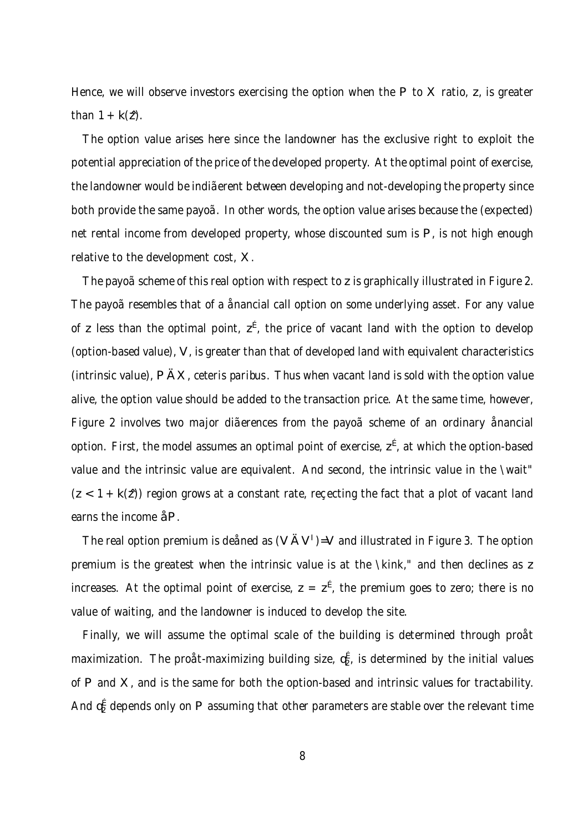Hence, we will observe investors exercising the option when the P to X ratio,  $z$ , is greater than  $1 + k(\hat{z})$ .

The option value arises here since the landowner has the exclusive right to exploit the potential appreciation of the price of the developed property. At the optimal point of exercise, the landowner would be indiãerent between developing and not-developing the property since both provide the same payoã. In other words, the option value arises because the (expected) net rental income from developed property, whose discounted sum is P, is not high enough relative to the development cost, X.

The payoãscheme of this real option with respect to z is graphically illustrated in Figure 2. The payoãresembles that of a ånancial call option on some underlying asset. For any value of z less than the optimal point,  $z^{\vec{E}}$ , the price of vacant land with the option to develop (option-based value), V , is greater than that of developed land with equivalent characteristics (intrinsic value), P ÄX, ceteris paribus. Thus when vacant land is sold with the option value alive, the option value should be added to the transaction price. At the same time, however, Figure 2 involves two major diãerences from the payoã scheme of an ordinary ånancial option. First, the model assumes an optimal point of exercise,  $z^{\text{E}}$ , at which the option-based value and the intrinsic value are equivalent. And second, the intrinsic value in the \wait"  $(z < 1 + k(z))$  region grows at a constant rate, rececting the fact that a plot of vacant land earns the income åP.

The real option premium is deåned as  $(V \times V)^{-1}$  and illustrated in Figure 3. The option premium is the greatest when the intrinsic value is at the \kink," and then declines as z increases. At the optimal point of exercise,  $z = z^{\epsilon}$ , the premium goes to zero; there is no value of waiting, and the landowner is induced to develop the site.

Finally, we will assume the optimal scale of the building is determined through proåt maximization. The proåt-maximizing building size,  $\mathfrak{q}_2^{\texttt{E}}$ , is determined by the initial values of P and X, and is the same for both the option-based and intrinsic values for tractability. And  $\mathfrak{q}_2^{\texttt{E}}$  depends only on P assuming that other parameters are stable over the relevant time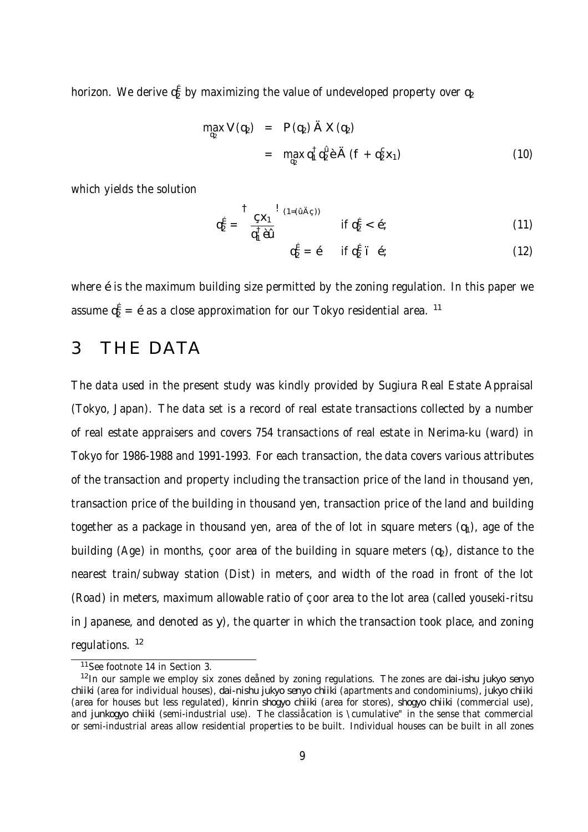horizon. We derive  $\mathfrak{q}^\mathsf{E}_2$  by maximizing the value of undeveloped property over  $\mathfrak{q}_2$ 

$$
\max_{q_2} V (q_2) = P (q_2) \ddot{A} X (q_2)
$$
  
= 
$$
\max_{q_2} q_1^{\dagger} q_2^{\dagger} \dot{e} \ddot{A} (f + q_2^{\c{S}} x_1)
$$
 (10)

which yields the solution

$$
q_2^{\vec{E}} = \frac{\vec{S} \cdot \vec{S} \cdot \vec{S}}{q_1^{\dagger} \hat{\vec{S}} \cdot \vec{S}} \quad \text{if } q_2^{\vec{E}} < \vec{S} \tag{11}
$$

$$
q_2^{\acute{E}} = \acute{E} \quad \text{if } q_2^{\acute{E}} \text{'} \; \acute{E} \tag{12}
$$

where éis the maximum building size permitted by the zoning regulation. In this paper we assume  $q_2^E = \hat{e}$ as a close approximation for our Tokyo residential area. <sup>11</sup>

## 3 THE DATA

The data used in the present study was kindly provided by Sugiura Real Estate Appraisal (Tokyo, Japan). The data set is a record of real estate transactions collected by a number of real estate appraisers and covers 754 transactions of real estate in Nerima-ku (ward) in Tokyo for 1986-1988 and 1991-1993. For each transaction, the data covers various attributes of the transaction and property including the transaction price of the land in thousand yen, transaction price of the building in thousand yen, transaction price of the land and building together as a package in thousand yen, area of the of lot in square meters  $(q_1)$ , age of the building (Age) in months, coor area of the building in square meters  $(q_2)$ , distance to the nearest train/subway station (Dist) in meters, and width of the road in front of the lot (Road) in meters, maximum allowable ratio of çoor area to the lot area (called youseki-ritsu in Japanese, and denoted as y), the quarter in which the transaction took place, and zoning regulations. <sup>12</sup>

<sup>11</sup> See footnote 14 in Section 3.

<sup>&</sup>lt;sup>12</sup>In our sample we employ six zones deåned by zoning regulations. The zones are dai-ishu jukyo senyo chiiki (area for individual houses), dai-nishu jukyo senyo chiiki (apartments and condominiums), jukyo chiiki (area for houses but less regulated), kinrin shogyo chiiki (area for stores), shogyo chiiki (commercial use), and junkogyo chiiki (semi-industrial use). The classiåcation is \cumulative" in the sense that commercial or semi-industrial areas allow residential properties to be built. Individual houses can be built in all zones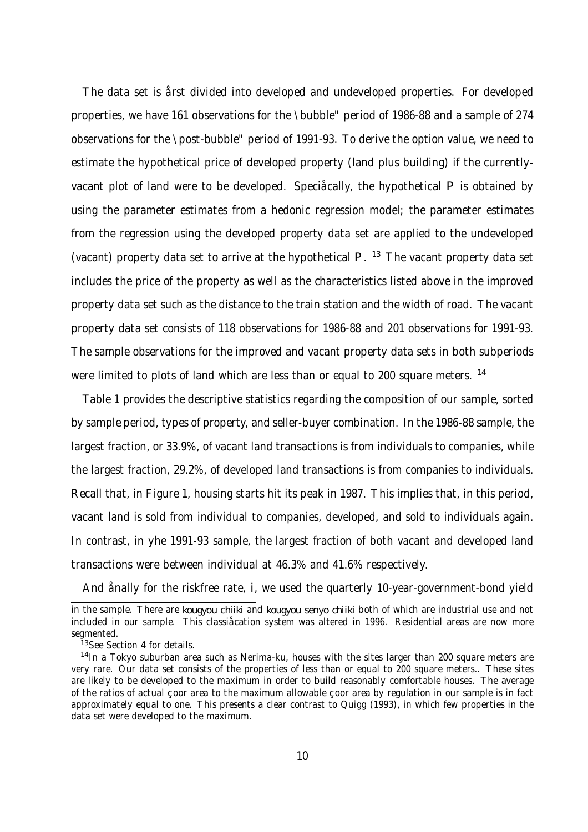The data set is årst divided into developed and undeveloped properties. For developed properties, we have 161 observations for the \bubble" period of 1986-88 and a sample of 274 observations for the \post-bubble" period of 1991-93. To derive the option value, we need to estimate the hypothetical price of developed property (land plus building) if the currentlyvacant plot of land were to be developed. Speciåcally, the hypothetical P is obtained by using the parameter estimates from a hedonic regression model; the parameter estimates from the regression using the developed property data set are applied to the undeveloped (vacant) property data set to arrive at the hypothetical  $P$ . <sup>13</sup> The vacant property data set includes the price of the property as well as the characteristics listed above in the improved property data set such as the distance to the train station and the width of road. The vacant property data set consists of 118 observations for 1986-88 and 201 observations for 1991-93. The sample observations for the improved and vacant property data sets in both subperiods were limited to plots of land which are less than or equal to 200 square meters. <sup>14</sup>

Table 1 provides the descriptive statistics regarding the composition of our sample, sorted by sample period, types of property, and seller-buyer combination. In the 1986-88 sample, the largest fraction, or 33.9%, of vacant land transactions is from individuals to companies, while the largest fraction, 29.2%, of developed land transactions is from companies to individuals. Recall that, in Figure 1, housing starts hit its peak in 1987. This implies that, in this period, vacant land is sold from individual to companies, developed, and sold to individuals again. In contrast, in yhe 1991-93 sample, the largest fraction of both vacant and developed land transactions were between individual at 46.3% and 41.6% respectively.

And ånally for the riskfree rate, i, we used the quarterly 10-year-government-bond yield

in the sample. There are kougyou chiiki and kougyou senyo chiiki both of which are industrial use and not included in our sample. This classiåcation system was altered in 1996. Residential areas are now more segmented.

<sup>&</sup>lt;sup>13</sup>See Section 4 for details.

<sup>&</sup>lt;sup>14</sup>In a Tokyo suburban area such as Nerima-ku, houses with the sites larger than 200 square meters are very rare. Our data set consists of the properties of less than or equal to 200 square meters.. These sites are likely to be developed to the maximum in order to build reasonably comfortable houses. The average of the ratios of actual çoor area to the maximum allowable çoor area by regulation in our sample is in fact approximately equal to one. This presents a clear contrast to Quigg (1993), in which few properties in the data set were developed to the maximum.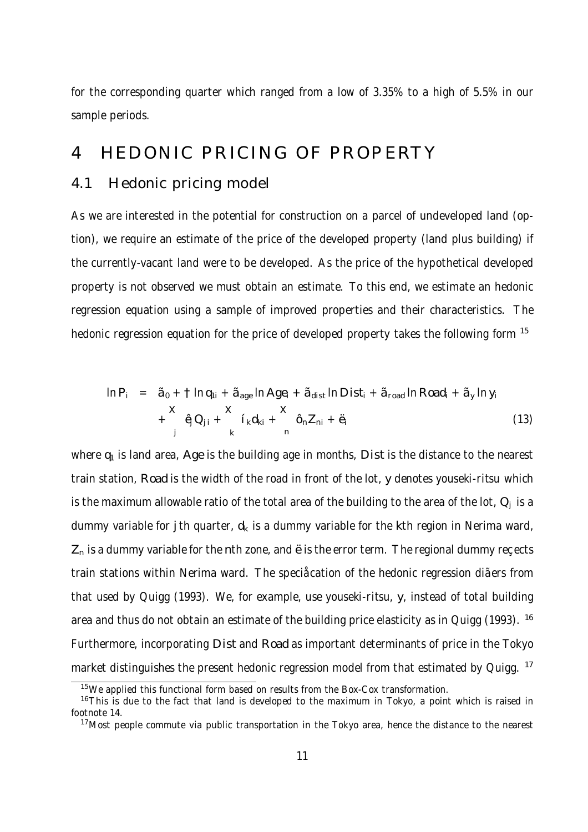for the corresponding quarter which ranged from a low of 3.35% to a high of 5.5% in our sample periods.

# 4 HEDONIC PRICING OF PROPERTY

#### 4.1 Hedonic pricing model

As we are interested in the potential for construction on a parcel of undeveloped land (option), we require an estimate of the price of the developed property (land plus building) if the currently-vacant land were to be developed. As the price of the hypothetical developed property is not observed we must obtain an estimate. To this end, we estimate an hedonic regression equation using a sample of improved properties and their characteristics. The hedonic regression equation for the price of developed property takes the following form <sup>15</sup>

$$
\ln P_i = \tilde{a}_0 + \tIm q_{1i} + \tilde{a}_{age} \ln Age_i + \tilde{a}_{dist} \ln Dist_i + \tilde{a}_{road} \ln Road_i + \tilde{a}_y \ln y_i
$$
  
+  $\hat{q}Q_{ji} + \tilde{i}_k d_{ki} + \hat{q}_i Z_{ni} + \hat{q}_i$  (13)

where  $q_1$  is land area, Age is the building age in months, Dist is the distance to the nearest train station, Road is the width of the road in front of the lot, y denotes youseki-ritsu which is the maximum allowable ratio of the total area of the building to the area of the lot,  $Q_i$  is a dummy variable for j th quarter,  $d_k$  is a dummy variable for the kth region in Nerima ward,  $Z_n$  is a dummy variable for the nth zone, and  $\ddot{e}$  is the error term. The regional dummy recects train stations within Nerima ward. The speciåcation of the hedonic regression diãers from that used by Quigg (1993). We, for example, use youseki-ritsu, y, instead of total building area and thus do not obtain an estimate of the building price elasticity as in Quigg (1993). <sup>16</sup> Furthermore, incorporating Dist and Road as important determinants of price in the Tokyo market distinguishes the present hedonic regression model from that estimated by Quigg. <sup>17</sup>

<sup>&</sup>lt;sup>15</sup>We applied this functional form based on results from the Box-Cox transformation.

 $16$ This is due to the fact that land is developed to the maximum in Tokyo, a point which is raised in footnote 14.

<sup>&</sup>lt;sup>17</sup>Most people commute via public transportation in the Tokyo area, hence the distance to the nearest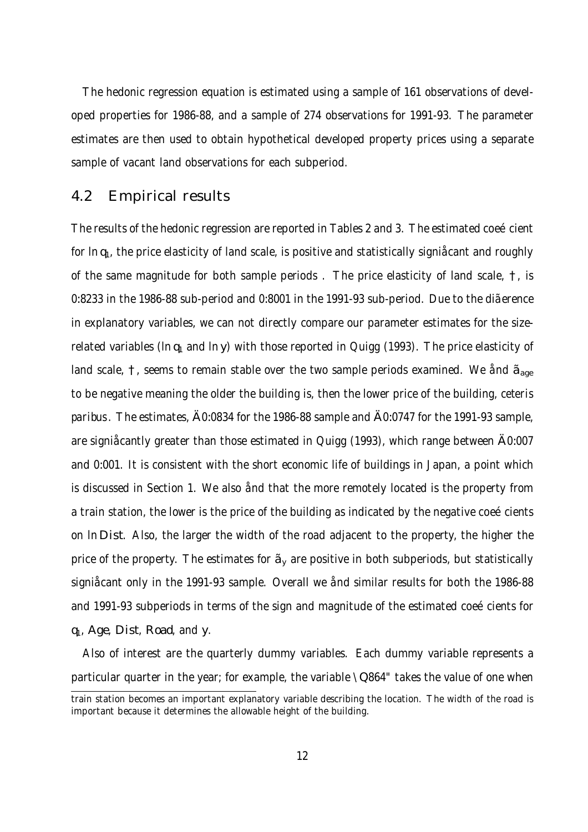The hedonic regression equation is estimated using a sample of 161 observations of developed properties for 1986-88, and a sample of 274 observations for 1991-93. The parameter estimates are then used to obtain hypothetical developed property prices using a separate sample of vacant land observations for each subperiod.

#### 4.2 Empirical results

The results of the hedonic regression are reported in Tables 2 and 3. The estimated coeécient for  $\ln q_1$ , the price elasticity of land scale, is positive and statistically signi  $\hat{\alpha}$  ant and roughly of the same magnitude for both sample periods . The price elasticity of land scale, †, is 0:8233 in the 1986-88 sub-period and 0:8001 in the 1991-93 sub-period. Due to the diãerence in explanatory variables, we can not directly compare our parameter estimates for the sizerelated variables ( $\ln q_1$  and  $\ln y$ ) with those reported in Quigg (1993). The price elasticity of land scale,  $\uparrow$ , seems to remain stable over the two sample periods examined. We and  $\tilde{a}_{\text{age}}$ to be negative meaning the older the building is, then the lower price of the building, ceteris paribus. The estimates, Ä0:0834 for the 1986-88 sample and Ä0:0747 for the 1991-93 sample, are signiåcantly greater than those estimated in Quigg (1993), which range between Ä0:007 and 0:001. It is consistent with the short economic life of buildings in Japan, a point which is discussed in Section 1. We also ånd that the more remotely located is the property from a train station, the lower is the price of the building as indicated by the negative coeécients on ln Dist. Also, the larger the width of the road adjacent to the property, the higher the price of the property. The estimates for  $\tilde{a}$ , are positive in both subperiods, but statistically signiåcant only in the 1991-93 sample. Overall we ånd similar results for both the 1986-88 and 1991-93 subperiods in terms of the sign and magnitude of the estimated coeécients for q1, Age, Dist, Road, and y.

Also of interest are the quarterly dummy variables. Each dummy variable represents a particular quarter in the year; for example, the variable \Q864" takes the value of one when

train station becomes an important explanatory variable describing the location. The width of the road is important because it determines the allowable height of the building.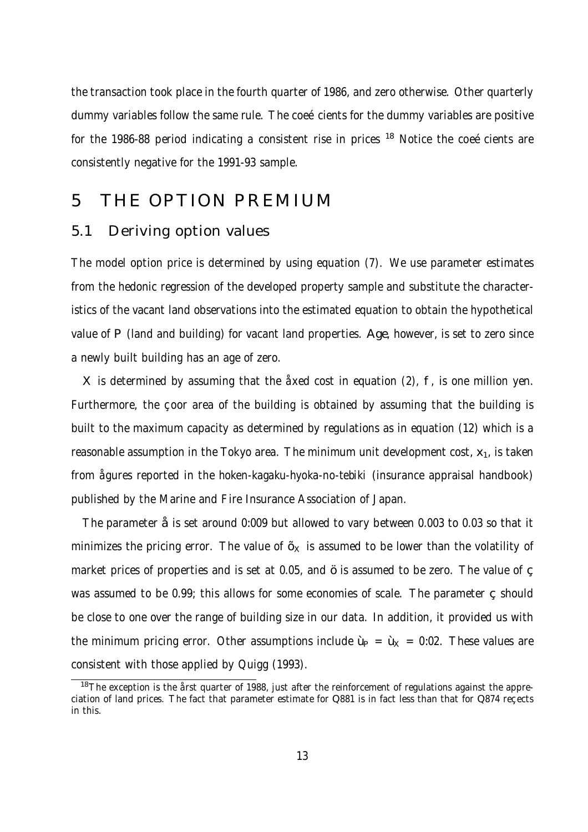the transaction took place in the fourth quarter of 1986, and zero otherwise. Other quarterly dummy variables follow the same rule. The coeécients for the dummy variables are positive for the 1986-88 period indicating a consistent rise in prices  $18$  Notice the coeécients are consistently negative for the 1991-93 sample.

### 5 THE OPTION PREMIUM

#### 5.1 Deriving option values

The model option price is determined by using equation (7). We use parameter estimates from the hedonic regression of the developed property sample and substitute the characteristics of the vacant land observations into the estimated equation to obtain the hypothetical value of P (land and building) for vacant land properties. Age, however, is set to zero since a newly built building has an age of zero.

X is determined by assuming that the åxed cost in equation (2), f, is one million yen. Furthermore, the coor area of the building is obtained by assuming that the building is built to the maximum capacity as determined by regulations as in equation (12) which is a reasonable assumption in the Tokyo area. The minimum unit development cost,  $x_1$ , is taken from ågures reported in the hoken-kagaku-hyoka-no-tebiki (insurance appraisal handbook) published by the Marine and Fire Insurance Association of Japan.

The parameter åis set around 0:009 but allowed to vary between 0.003 to 0.03 so that it minimizes the pricing error. The value of  $\tilde{\varphi}_x$  is assumed to be lower than the volatility of market prices of properties and is set at 0.05, and öis assumed to be zero. The value of  $\varsigma$ was assumed to be 0.99; this allows for some economies of scale. The parameter  $\varsigma$  should be close to one over the range of building size in our data. In addition, it provided us with the minimum pricing error. Other assumptions include  $\dot{\psi} = \dot{\psi}_x = 0.02$ . These values are consistent with those applied by Quigg (1993).

<sup>&</sup>lt;sup>18</sup>The exception is the årst quarter of 1988, just after the reinforcement of regulations against the appreciation of land prices. The fact that parameter estimate for Q881 is in fact less than that for Q874 recects in this.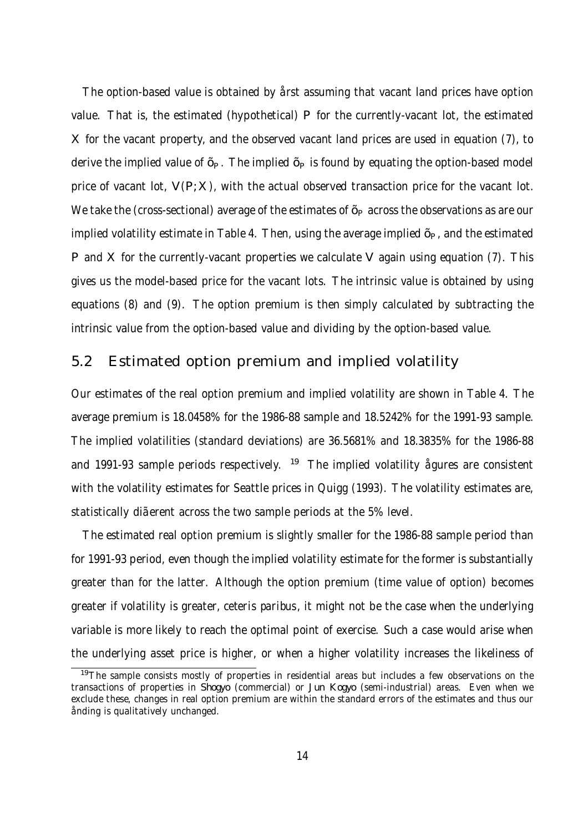The option-based value is obtained by årst assuming that vacant land prices have option value. That is, the estimated (hypothetical) P for the currently-vacant lot, the estimated X for the vacant property, and the observed vacant land prices are used in equation (7), to derive the implied value of  $\tilde{\varphi}$ . The implied  $\tilde{\varphi}$  is found by equating the option-based model price of vacant lot,  $V(P;X)$ , with the actual observed transaction price for the vacant lot. We take the (cross-sectional) average of the estimates of  $\tilde{\varphi}$  across the observations as are our implied volatility estimate in Table 4. Then, using the average implied  $\tilde{\varphi}$ , and the estimated P and X for the currently-vacant properties we calculate V again using equation (7). This gives us the model-based price for the vacant lots. The intrinsic value is obtained by using equations (8) and (9). The option premium is then simply calculated by subtracting the intrinsic value from the option-based value and dividing by the option-based value.

#### 5.2 Estimated option premium and implied volatility

Our estimates of the real option premium and implied volatility are shown in Table 4. The average premium is 18.0458% for the 1986-88 sample and 18.5242% for the 1991-93 sample. The implied volatilities (standard deviations) are 36.5681% and 18.3835% for the 1986-88 and 1991-93 sample periods respectively.  $19$  The implied volatility agures are consistent with the volatility estimates for Seattle prices in Quigg (1993). The volatility estimates are, statistically diãerent across the two sample periods at the 5% level.

The estimated real option premium is slightly smaller for the 1986-88 sample period than for 1991-93 period, even though the implied volatility estimate for the former is substantially greater than for the latter. Although the option premium (time value of option) becomes greater if volatility is greater, ceteris paribus, it might not be the case when the underlying variable is more likely to reach the optimal point of exercise. Such a case would arise when the underlying asset price is higher, or when a higher volatility increases the likeliness of

<sup>&</sup>lt;sup>19</sup>The sample consists mostly of properties in residential areas but includes a few observations on the transactions of properties in Shogyo (commercial) or Jun Kogyo (semi-industrial) areas. Even when we exclude these, changes in real option premium are within the standard errors of the estimates and thus our ånding is qualitatively unchanged.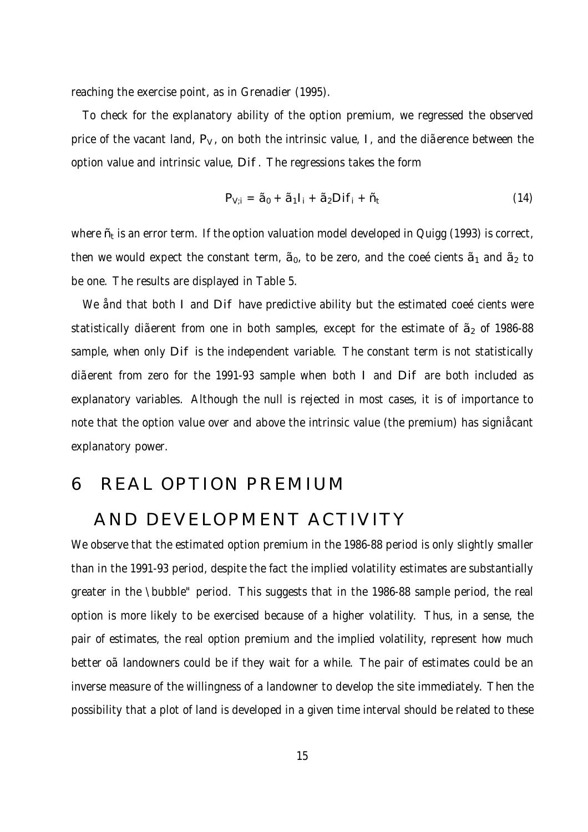reaching the exercise point, as in Grenadier (1995).

To check for the explanatory ability of the option premium, we regressed the observed price of the vacant land, P<sub>V</sub>, on both the intrinsic value, I, and the dia erence between the option value and intrinsic value, Dif. The regressions takes the form

$$
P_{V;i} = \tilde{a}_0 + \tilde{a}_1 I_i + \tilde{a}_2 D i f_i + \tilde{r}_i
$$
 (14)

where  $\tilde{\eta}$  is an error term. If the option valuation model developed in Quigg (1993) is correct, then we would expect the constant term,  $\tilde{a}_0$ , to be zero, and the coeécients  $\tilde{a}_1$  and  $\tilde{a}_2$  to be one. The results are displayed in Table 5.

We ånd that both I and Dif have predictive ability but the estimated coeécients were statistically dia erent from one in both samples, except for the estimate of  $\tilde{\sigma}_{2}$  of 1986-88 sample, when only Dif is the independent variable. The constant term is not statistically diãerent from zero for the 1991-93 sample when both I and Dif are both included as explanatory variables. Although the null is rejected in most cases, it is of importance to note that the option value over and above the intrinsic value (the premium) has signiåcant explanatory power.

### 6 REAL OPTION PREMIUM

### AND DEVELOPMENT ACTIVITY

We observe that the estimated option premium in the 1986-88 period is only slightly smaller than in the 1991-93 period, despite the fact the implied volatility estimates are substantially greater in the \bubble" period. This suggests that in the 1986-88 sample period, the real option is more likely to be exercised because of a higher volatility. Thus, in a sense, the pair of estimates, the real option premium and the implied volatility, represent how much better oã landowners could be if they wait for a while. The pair of estimates could be an inverse measure of the willingness of a landowner to develop the site immediately. Then the possibility that a plot of land is developed in a given time interval should be related to these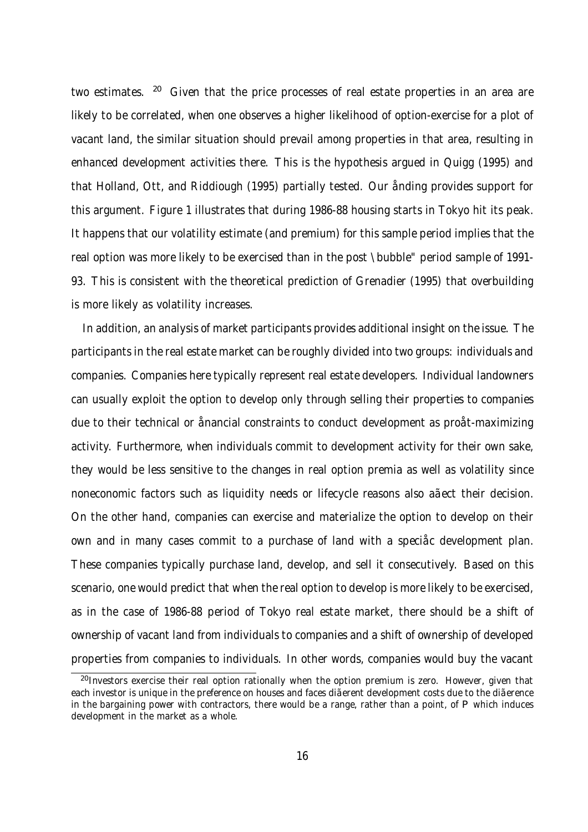two estimates. <sup>20</sup> Given that the price processes of real estate properties in an area are likely to be correlated, when one observes a higher likelihood of option-exercise for a plot of vacant land, the similar situation should prevail among properties in that area, resulting in enhanced development activities there. This is the hypothesis argued in Quigg (1995) and that Holland, Ott, and Riddiough (1995) partially tested. Our ånding provides support for this argument. Figure 1 illustrates that during 1986-88 housing starts in Tokyo hit its peak. It happens that our volatility estimate (and premium) for this sample period implies that the real option was more likely to be exercised than in the post \bubble" period sample of 1991- 93. This is consistent with the theoretical prediction of Grenadier (1995) that overbuilding is more likely as volatility increases.

In addition, an analysis of market participants provides additional insight on the issue. The participants in the real estate market can be roughly divided into two groups: individuals and companies. Companies here typically represent real estate developers. Individual landowners can usually exploit the option to develop only through selling their properties to companies due to their technical or ånancial constraints to conduct development as proåt-maximizing activity. Furthermore, when individuals commit to development activity for their own sake, they would be less sensitive to the changes in real option premia as well as volatility since noneconomic factors such as liquidity needs or lifecycle reasons also aãect their decision. On the other hand, companies can exercise and materialize the option to develop on their own and in many cases commit to a purchase of land with a speciåc development plan. These companies typically purchase land, develop, and sell it consecutively. Based on this scenario, one would predict that when the real option to develop is more likely to be exercised, as in the case of 1986-88 period of Tokyo real estate market, there should be a shift of ownership of vacant land from individuals to companies and a shift of ownership of developed properties from companies to individuals. In other words, companies would buy the vacant

<sup>&</sup>lt;sup>20</sup> Investors exercise their real option rationally when the option premium is zero. However, given that each investor is unique in the preference on houses and faces diãerent development costs due to the diãerence in the bargaining power with contractors, there would be a range, rather than a point, of P which induces development in the market as a whole.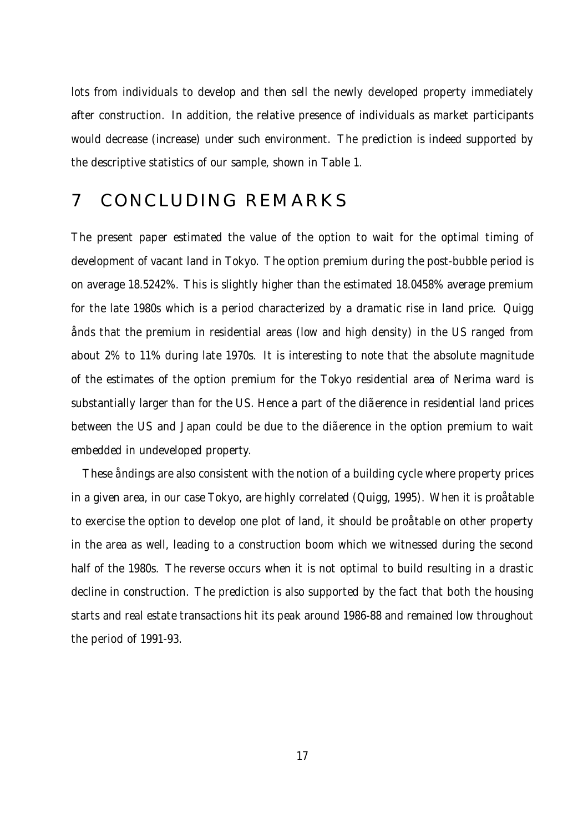lots from individuals to develop and then sell the newly developed property immediately after construction. In addition, the relative presence of individuals as market participants would decrease (increase) under such environment. The prediction is indeed supported by the descriptive statistics of our sample, shown in Table 1.

### 7 CONCLUDING REMARKS

The present paper estimated the value of the option to wait for the optimal timing of development of vacant land in Tokyo. The option premium during the post-bubble period is on average 18.5242%. This is slightly higher than the estimated 18.0458% average premium for the late 1980s which is a period characterized by a dramatic rise in land price. Quigg ånds that the premium in residential areas (low and high density) in the US ranged from about 2% to 11% during late 1970s. It is interesting to note that the absolute magnitude of the estimates of the option premium for the Tokyo residential area of Nerima ward is substantially larger than for the US. Hence a part of the dia erence in residential land prices between the US and Japan could be due to the diãerence in the option premium to wait embedded in undeveloped property.

These åndings are also consistent with the notion of a building cycle where property prices in a given area, in our case Tokyo, are highly correlated (Quigg, 1995). When it is proåtable to exercise the option to develop one plot of land, it should be proåtable on other property in the area as well, leading to a construction boom which we witnessed during the second half of the 1980s. The reverse occurs when it is not optimal to build resulting in a drastic decline in construction. The prediction is also supported by the fact that both the housing starts and real estate transactions hit its peak around 1986-88 and remained low throughout the period of 1991-93.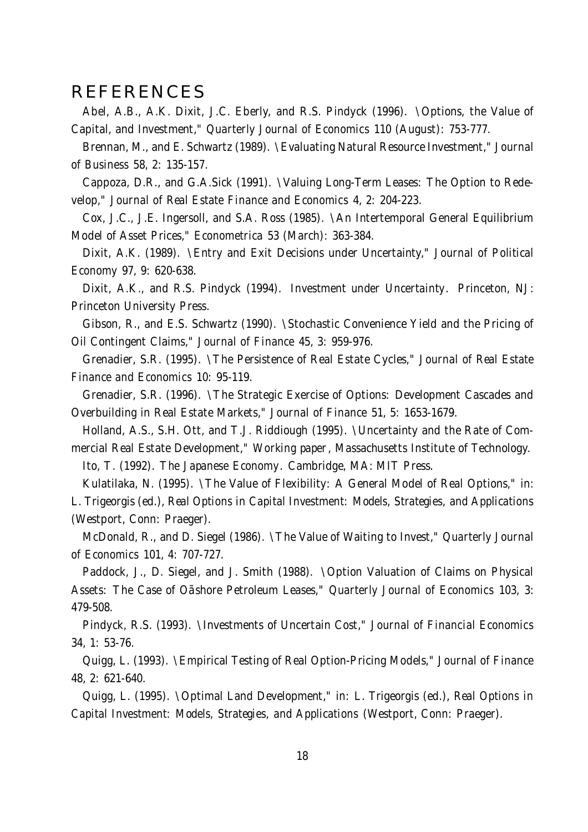### REFERENCES

Abel, A.B., A.K. Dixit, J.C. Eberly, and R.S. Pindyck (1996). \Options, the Value of Capital, and Investment," Quarterly Journal of Economics 110 (August): 753-777.

Brennan, M., and E. Schwartz (1989). \Evaluating Natural Resource Investment," Journal of Business 58, 2: 135-157.

Cappoza, D.R., and G.A.Sick (1991). \Valuing Long-Term Leases: The Option to Redevelop," Journal of Real Estate Finance and Economics 4, 2: 204-223.

Cox, J.C., J.E. Ingersoll, and S.A. Ross (1985). \An Intertemporal General Equilibrium Model of Asset Prices," Econometrica 53 (March): 363-384.

Dixit, A.K. (1989). \Entry and Exit Decisions under Uncertainty," Journal of Political Economy 97, 9: 620-638.

Dixit, A.K., and R.S. Pindyck (1994). Investment under Uncertainty. Princeton, NJ: Princeton University Press.

Gibson, R., and E.S. Schwartz (1990). \Stochastic Convenience Yield and the Pricing of Oil Contingent Claims," Journal of Finance 45, 3: 959-976.

Grenadier, S.R. (1995). \The Persistence of Real Estate Cycles," Journal of Real Estate Finance and Economics 10: 95-119.

Grenadier, S.R. (1996). \The Strategic Exercise of Options: Development Cascades and Overbuilding in Real Estate Markets," Journal of Finance 51, 5: 1653-1679.

Holland, A.S., S.H. Ott, and T.J. Riddiough (1995). \Uncertainty and the Rate of Commercial Real Estate Development," Working paper, Massachusetts Institute of Technology.

Ito, T. (1992). The Japanese Economy. Cambridge, MA: MIT Press.

Kulatilaka, N. (1995). \The Value of Flexibility: A General Model of Real Options," in: L. Trigeorgis (ed.), Real Options in Capital Investment: Models, Strategies, and Applications (Westport, Conn: Praeger).

McDonald, R., and D. Siegel (1986). \The Value of Waiting to Invest," Quarterly Journal of Economics 101, 4: 707-727.

Paddock, J., D. Siegel, and J. Smith (1988). \Option Valuation of Claims on Physical Assets: The Case of Oãshore Petroleum Leases," Quarterly Journal of Economics 103, 3: 479-508.

Pindyck, R.S. (1993). \Investments of Uncertain Cost," Journal of Financial Economics 34, 1: 53-76.

Quigg, L. (1993). \Empirical Testing of Real Option-Pricing Models," Journal of Finance 48, 2: 621-640.

Quigg, L. (1995). \Optimal Land Development," in: L. Trigeorgis (ed.), Real Options in Capital Investment: Models, Strategies, and Applications (Westport, Conn: Praeger).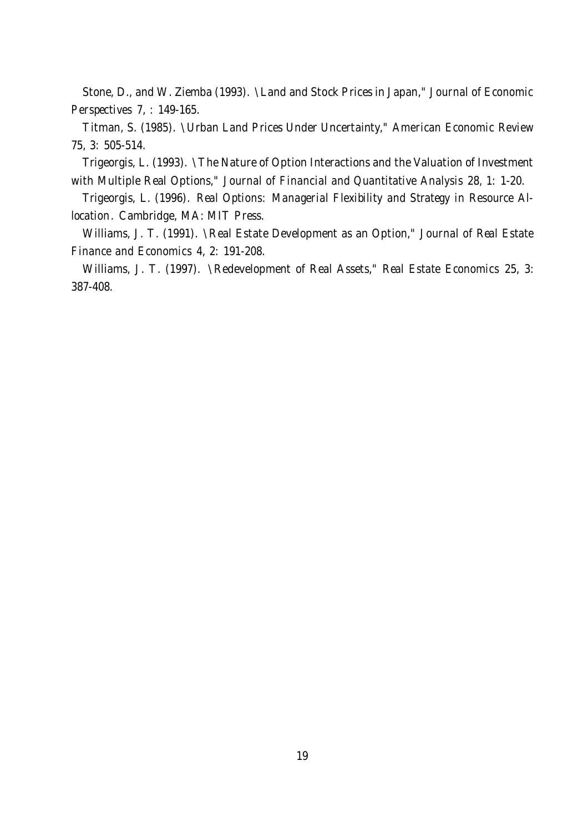Stone, D., and W. Ziemba (1993). \Land and Stock Prices in Japan," Journal of Economic Perspectives 7, : 149-165.

Titman, S. (1985). \Urban Land Prices Under Uncertainty," American Economic Review 75, 3: 505-514.

Trigeorgis, L. (1993). \The Nature of Option Interactions and the Valuation of Investment with Multiple Real Options," Journal of Financial and Quantitative Analysis 28, 1: 1-20.

Trigeorgis, L. (1996). Real Options: Managerial Flexibility and Strategy in Resource Allocation. Cambridge, MA: MIT Press.

Williams, J. T. (1991). \Real Estate Development as an Option," Journal of Real Estate Finance and Economics 4, 2: 191-208.

Williams, J. T. (1997). \Redevelopment of Real Assets," Real Estate Economics 25, 3: 387-408.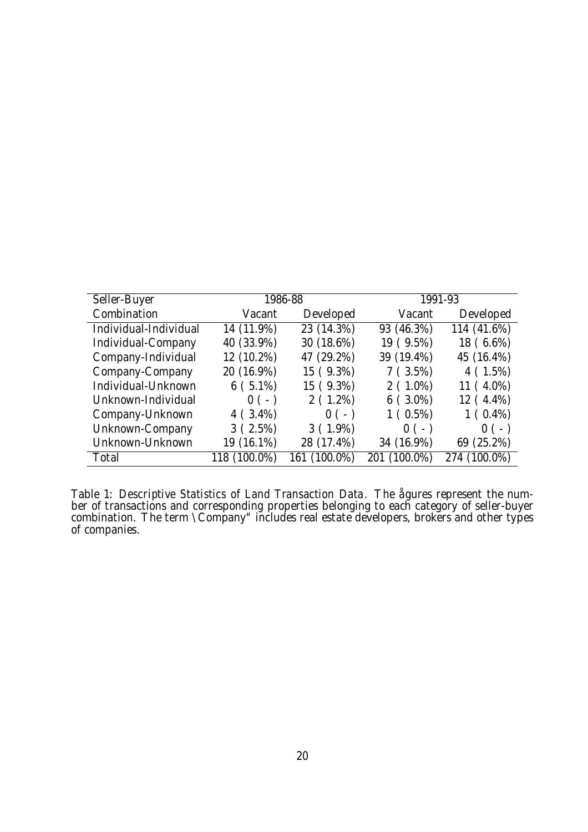| Seller-Buyer          | 1986-88      |              | 1991-93      |              |  |
|-----------------------|--------------|--------------|--------------|--------------|--|
| Combination           | Vacant       | Developed    | Vacant       | Developed    |  |
| Individual-Individual | 14 (11.9%)   | 23 (14.3%)   | 93 (46.3%)   | 114 (41.6%)  |  |
| Individual-Company    | 40 (33.9%)   | 30 (18.6%)   | 19 ( 9.5%)   | 18 (6.6%)    |  |
| Company-Individual    | 12 (10.2%)   | 47 (29.2%)   | 39 (19.4%)   | 45 (16.4%)   |  |
| Company-Company       | 20 (16.9%)   | 15 (9.3%)    | 7(3.5%)      | 4(1.5%)      |  |
| Individual-Unknown    | $6(5.1\%)$   | 15 ( 9.3%)   | $2(1.0\%)$   | 11 (4.0%)    |  |
| Unknown-Individual    | $0(-)$       | $2(1.2\%)$   | $6(3.0\%)$   | 12 (4.4%)    |  |
| Company-Unknown       | $4(3.4\%)$   | $0(-)$       | $1(0.5\%)$   | $1(0.4\%)$   |  |
| Unknown-Company       | 3(2.5%)      | $3(1.9\%)$   | $0(-)$       | $0(-)$       |  |
| Unknown-Unknown       | 19 (16.1%)   | 28 (17.4%)   | 34 (16.9%)   | 69 (25.2%)   |  |
| Total                 | 118 (100.0%) | 161 (100.0%) | 201 (100.0%) | 274 (100.0%) |  |

Table 1: Descriptive Statistics of Land Transaction Data. The ågures represent the number of transactions and corresponding properties belonging to each category of seller-buyer combination. The term \Company" includes real estate developers, brokers and other types of companies.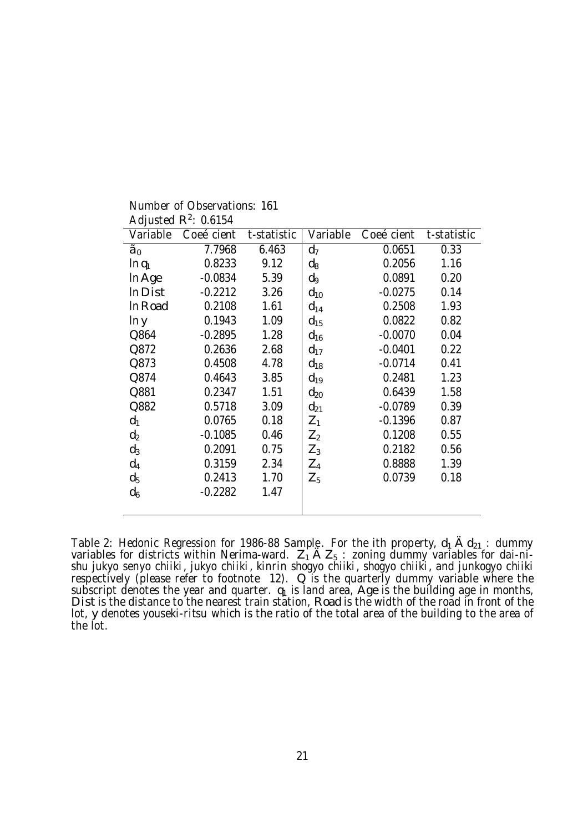| Variable       | Coeécient | t-statistic | Variable       | Coeécient | t-statistic |
|----------------|-----------|-------------|----------------|-----------|-------------|
| $\tilde{a}_0$  | 7.7968    | 6.463       | $d_7$          | 0.0651    | 0.33        |
| $\ln q_1$      | 0.8233    | 9.12        | $d_8$          | 0.2056    | 1.16        |
| In Age         | $-0.0834$ | 5.39        | d <sub>9</sub> | 0.0891    | 0.20        |
| In Dist        | $-0.2212$ | 3.26        | $d_{10}$       | $-0.0275$ | 0.14        |
| In Road        | 0.2108    | 1.61        | $d_{14}$       | 0.2508    | 1.93        |
| In y           | 0.1943    | 1.09        | $d_{15}$       | 0.0822    | 0.82        |
| Q864           | $-0.2895$ | 1.28        | $d_{16}$       | $-0.0070$ | 0.04        |
| Q872           | 0.2636    | 2.68        | $d_{17}$       | $-0.0401$ | 0.22        |
| Q873           | 0.4508    | 4.78        | $d_{18}$       | $-0.0714$ | 0.41        |
| Q874           | 0.4643    | 3.85        | $d_{19}$       | 0.2481    | 1.23        |
| Q881           | 0.2347    | 1.51        | $d_{20}$       | 0.6439    | 1.58        |
| Q882           | 0.5718    | 3.09        | $d_{21}$       | $-0.0789$ | 0.39        |
| $d_1$          | 0.0765    | 0.18        | $Z_1$          | $-0.1396$ | 0.87        |
| d <sub>2</sub> | $-0.1085$ | 0.46        | $Z_2$          | 0.1208    | 0.55        |
| $d_3$          | 0.2091    | 0.75        | $Z_3$          | 0.2182    | 0.56        |
| $d_4$          | 0.3159    | 2.34        | $Z_4$          | 0.8888    | 1.39        |
| d <sub>5</sub> | 0.2413    | 1.70        | $Z_5$          | 0.0739    | 0.18        |
| $d_6$          | $-0.2282$ | 1.47        |                |           |             |
|                |           |             |                |           |             |

Number of Observations: 161 Adjusted  $R^2$ : 0.6154

Table 2: Hedonic Regression for 1986-88 Sample. For the ith property,  $d_1$   $\hat{A}$   $d_{21}$ : dummy variables for districts within Nerima-ward.  $Z_1$   $\mathsf{A}$   $Z_5$ : zoning dummy variables for dai-nishu jukyo senyo chiiki, jukyo chiiki, kinrin shogyo chiiki, shogyo chiiki, and junkogyo chiiki respectively (please refer to footnote 12). Q is the quarterly dummy variable where the subscript denotes the year and quarter.  $\mathfrak{q}_1$  is land area, Age is the building age in months, Dist is the distance to the nearest train station, Road is the width of the road in front of the lot, y denotes youseki-ritsu which is the ratio of the total area of the building to the area of the lot.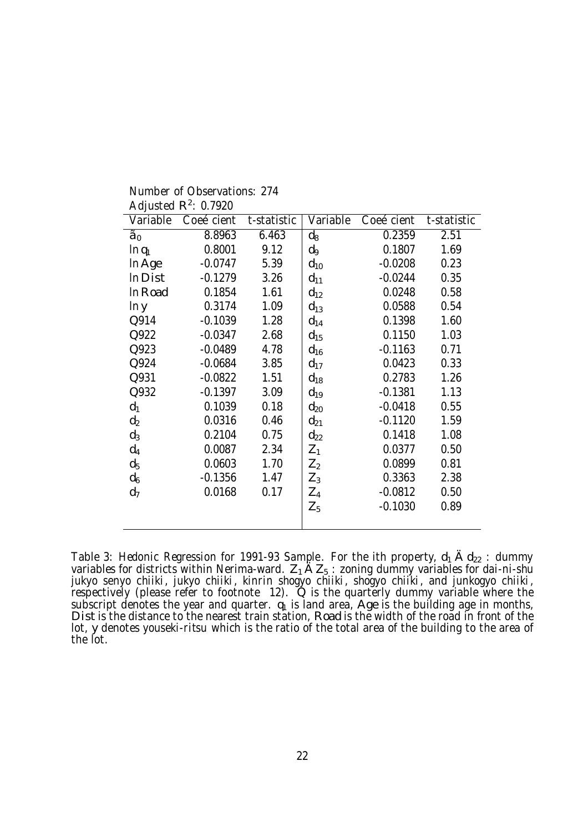| Variable       | Coeécient | t-statistic | Variable | Coeécient t-statistic |      |
|----------------|-----------|-------------|----------|-----------------------|------|
| $\tilde{a}_0$  | 8.8963    | 6.463       | $d_8$    | 0.2359                | 2.51 |
| $\ln q_1$      | 0.8001    | 9.12        | d9       | 0.1807                | 1.69 |
| In Age         | $-0.0747$ | 5.39        | $d_{10}$ | $-0.0208$             | 0.23 |
| In Dist        | $-0.1279$ | 3.26        | $d_{11}$ | $-0.0244$             | 0.35 |
| In Road        | 0.1854    | 1.61        | $d_{12}$ | 0.0248                | 0.58 |
| In y           | 0.3174    | 1.09        | $d_{13}$ | 0.0588                | 0.54 |
| Q914           | $-0.1039$ | 1.28        | $d_{14}$ | 0.1398                | 1.60 |
| Q922           | $-0.0347$ | 2.68        | $d_{15}$ | 0.1150                | 1.03 |
| Q923           | $-0.0489$ | 4.78        | $d_{16}$ | $-0.1163$             | 0.71 |
| Q924           | $-0.0684$ | 3.85        | $d_{17}$ | 0.0423                | 0.33 |
| Q931           | $-0.0822$ | 1.51        | $d_{18}$ | 0.2783                | 1.26 |
| Q932           | $-0.1397$ | 3.09        | $d_{19}$ | $-0.1381$             | 1.13 |
| $d_1$          | 0.1039    | 0.18        | $d_{20}$ | $-0.0418$             | 0.55 |
| $d_2$          | 0.0316    | 0.46        | $d_{21}$ | $-0.1120$             | 1.59 |
| $d_3$          | 0.2104    | 0.75        | $d_{22}$ | 0.1418                | 1.08 |
| $d_4$          | 0.0087    | 2.34        | $Z_1$    | 0.0377                | 0.50 |
| $d_5$          | 0.0603    | 1.70        | $Z_2$    | 0.0899                | 0.81 |
| d <sub>6</sub> | $-0.1356$ | 1.47        | $Z_3$    | 0.3363                | 2.38 |
| d <sub>7</sub> | 0.0168    | 0.17        | $Z_4$    | $-0.0812$             | 0.50 |
|                |           |             | $Z_5$    | $-0.1030$             | 0.89 |
|                |           |             |          |                       |      |

Number of Observations: 274 Adjusted  $R^2$ : 0.7920

Table 3: Hedonic Regression for 1991-93 Sample. For the ith property,  $d_1$   $\hat{A}$   $d_{22}$ : dummy variables for districts within Nerima-ward.  $Z_1$   $\tilde{A}Z_5$ : zoning dummy variables for dai-ni-shu<br>intuga contra objiki, intuga objiki, kingin obonus objiki, obonus objiki, and ingkonus objiki, jukyo senyo chiiki, jukyo chiiki, kinrin shogyo chiiki, shogyo chiiki, and junkogyo chiiki,<br>respectively (please refer to footnote 12). Q is the quarterly dummy variable where the subscript denotes the year and quarter.  $q_1$  is land area, Age is the building age in months, Dist is the distance to the nearest train station, Road is the width of the road in front of the lot, y denotes youseki-ritsu which is the ratio of the total area of the building to the area of the lot.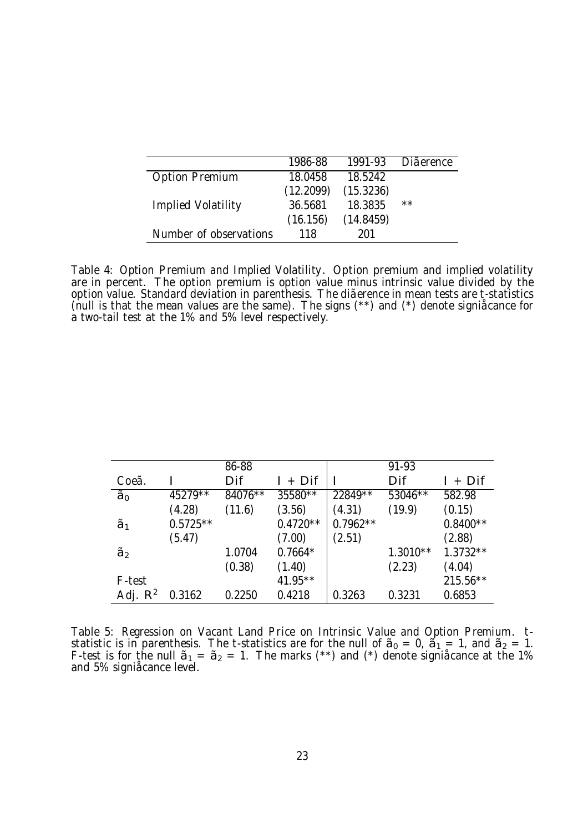|                        | 1986-88   | 1991-93   | <b>Di</b> aerence |
|------------------------|-----------|-----------|-------------------|
| <b>Option Premium</b>  | 18.0458   | 18.5242   |                   |
|                        | (12.2099) | (15.3236) |                   |
| Implied Volatility     | 36.5681   | 18.3835   | $***$             |
|                        | (16.156)  | (14.8459) |                   |
| Number of observations | 118       | 201       |                   |

Table 4: Option Premium and Implied Volatility. Option premium and implied volatility are in percent. The option premium is option value minus intrinsic value divided by the option value. Standard deviation in parenthesis. The diãerence in mean tests are t-statistics (null is that the mean values are the same). The signs (\*\*) and (\*) denote signiåcance for a two-tail test at the 1% and 5% level respectively.

|               |            | 86-88   |            |            | 91-93      |            |
|---------------|------------|---------|------------|------------|------------|------------|
| Coeã          |            | Dif     | + Dif      |            | Dif        | $I + Diff$ |
| $\tilde{a}_0$ | 45279**    | 84076** | 35580**    | 22849**    | 53046**    | 582.98     |
|               | (4.28)     | (11.6)  | (3.56)     | (4.31)     | (19.9)     | (0.15)     |
| $\tilde{a}_1$ | $0.5725**$ |         | $0.4720**$ | $0.7962**$ |            | $0.8400**$ |
|               | (5.47)     |         | (7.00)     | (2.51)     |            | (2.88)     |
| $\tilde{a}_2$ |            | 1.0704  | $0.7664*$  |            | $1.3010**$ | $1.3732**$ |
|               |            | (0.38)  | (1.40)     |            | (2.23)     | (4.04)     |
| F-test        |            |         | 41.95**    |            |            | $215.56**$ |
| Adj. $R^2$    | 0.3162     | 0.2250  | 0.4218     | 0.3263     | 0.3231     | 0.6853     |

Table 5: Regression on Vacant Land Price on Intrinsic Value and Option Premium. t-<br>statistic is in parenthesis. The t-statistics are for the null of  $\tilde{\bf a}_0 = {\bf 0}$ ,  $\tilde{\bf a}_1 = {\bf 1}$ , and  $\tilde{\bf a}_2 = {\bf 1}$ . F-test is for the null  $\tilde{a}_1 = \tilde{a}_2 = 1$ . The marks (\*\*) and (\*) denote signi $\hat{a}$ ance at the 1% and 5% signiåcance level.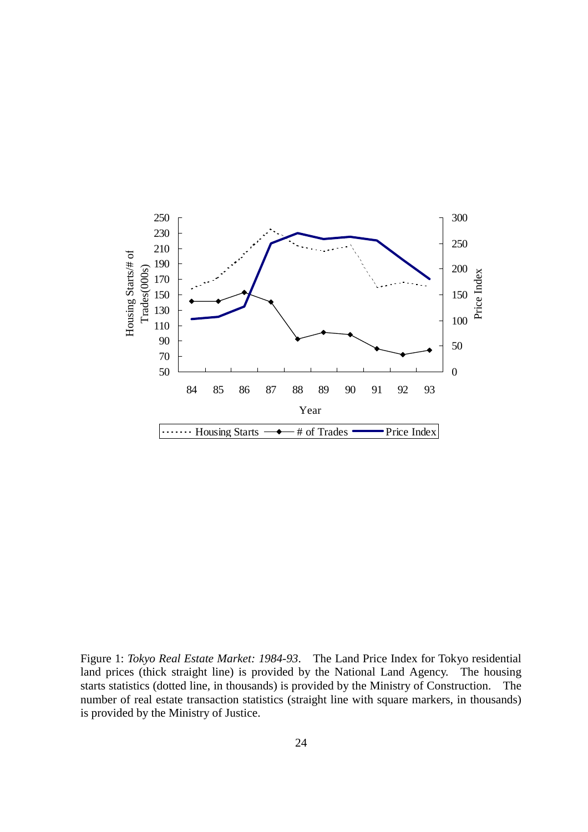

Figure 1: *Tokyo Real Estate Market: 1984-93*. The Land Price Index for Tokyo residential land prices (thick straight line) is provided by the National Land Agency. The housing starts statistics (dotted line, in thousands) is provided by the Ministry of Construction. The number of real estate transaction statistics (straight line with square markers, in thousands) is provided by the Ministry of Justice.